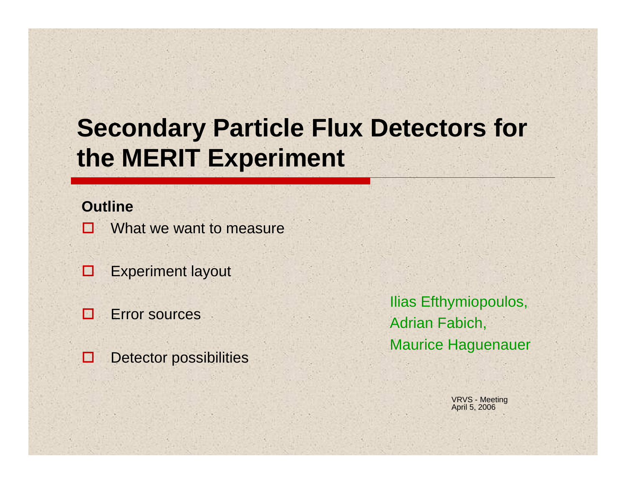# **Secondary Particle Flux Detectors for the MERIT Experiment**

#### **Outline**

- П What we want to measure
- □ Experiment layout
- П Error sources
- $\Box$ Detector possibilities

Ilias Efthymiopoulos, Adrian Fabich, Maurice Haguenauer

> VRVS - Meeting April 5, 2006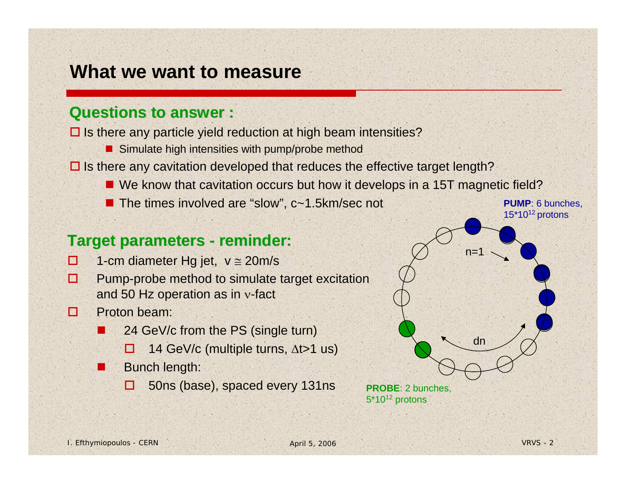### **What we want to measure**

#### **Questions to answer : Questions to answer :**

 $\square$  Is there any particle yield reduction at high beam intensities?

- **Simulate high intensities with pump/probe method**
- $\square$  Is there any cavitation developed that reduces the effective target length?
	- We know that cavitation occurs but how it develops in a 15T magnetic field?
	- The times involved are "slow", c~1.5km/sec not

#### **Target parameters - reminder:**

- ◻ 1-cm diameter Hg jet,  $v \approx 20 \text{m/s}$
- п Pump-probe method to simulate target excitation and 50 Hz operation as in ν-fact
- п Proton beam:
	- 24 GeV/c from the PS (single turn)
		- □ 14 GeV/c (multiple turns, Δt>1 us)
	- Bunch length:
		- □ 50ns (base), spaced every 131ns



5\*10<sup>12</sup> protons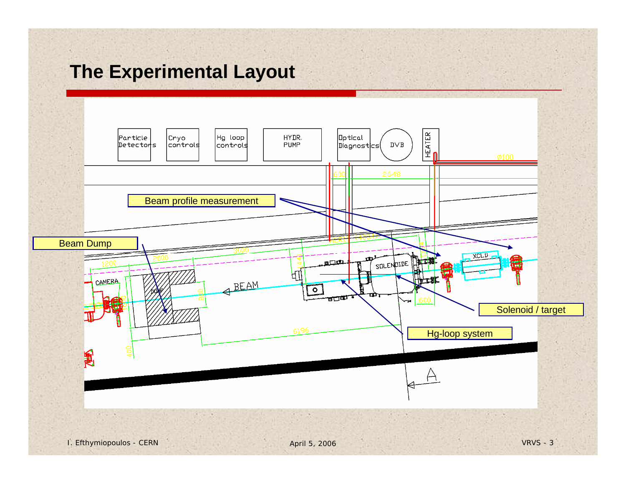## **The Experimental Layout**

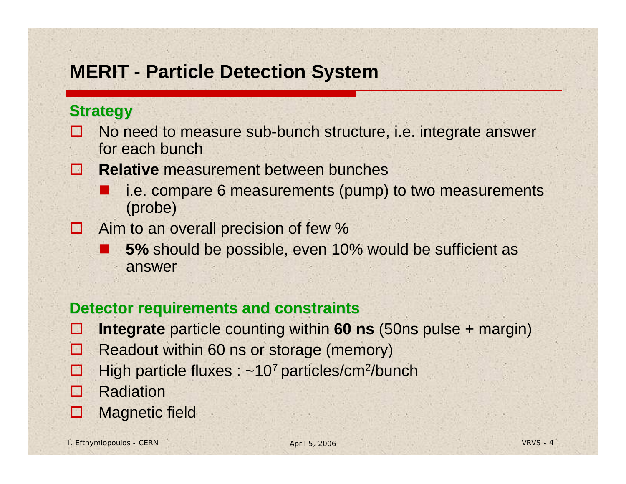## **MERIT - Particle Detection System**

#### **Strategy Strategy**

- M No need to measure sub-bunch structure, i.e. integrate answer for each bunch
- **The Second Relative** measurement between bunches
	- T. i.e. compare 6 measurements (pump) to two measurements (probe)
- N Aim to an overall precision of few %
	- $\mathbb{R}^2$ ■ 5% should be possible, even 10% would be sufficient as answer

#### **Detector requirements and constraints Detector requirements and constraints**

- H **Integrate** particle counting within **60 ns** (50ns pulse + margin)
- $\mathbf{E}$ Readout within 60 ns or storage (memory)
- H High particle fluxes : ~10<sup>7</sup> particles/cm<sup>2</sup>/bunch
- п Radiation
- П Magnetic field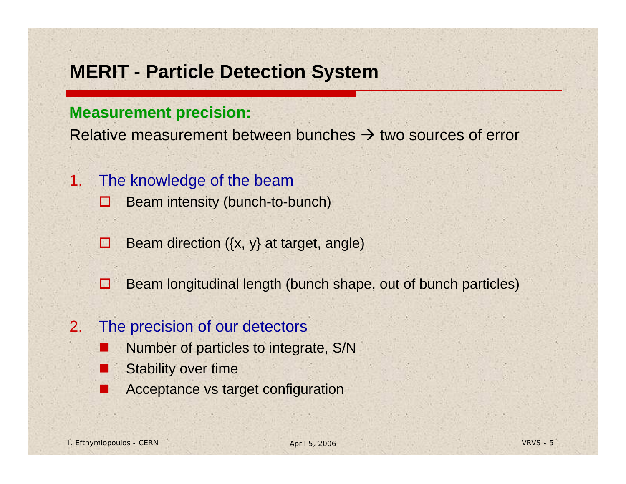### **MERIT - Particle Detection System**

#### **Measurement precision: Measurement precision:**

Relative measurement between bunches  $\rightarrow$  two sources of error

- 1. The knowledge of the beam
	- о Beam intensity (bunch-to-bunch)
	- п Beam direction ({x, y} at target, angle)
	- $\Box$ Beam longitudinal length (bunch shape, out of bunch particles)

#### 2.The precision of our detectors

- П Number of particles to integrate, S/N
- Stability over time
- Acceptance vs target configuration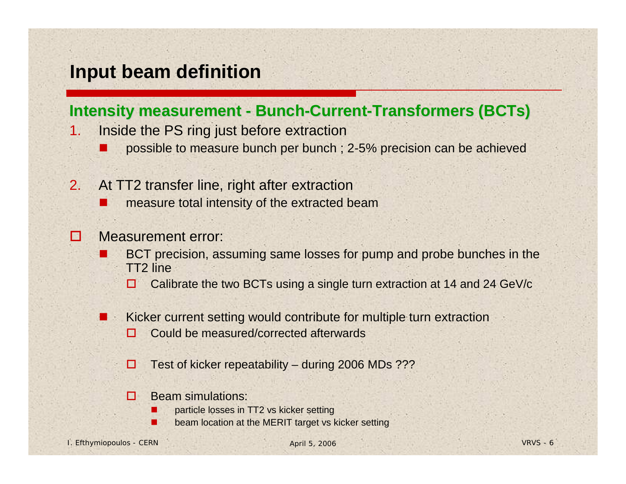### **Input beam definition**

#### **Intensity measurement - Bunch-Current-Transformers (BCTs)**

- 1. Inside the PS ring just before extraction
	- m. possible to measure bunch per bunch ; 2-5% precision can be achieved
- 2. At TT2 transfer line, right after extraction
	- $\Box$ measure total intensity of the extracted beam

#### П Measurement error:

Г

Г

- M. BCT precision, assuming same losses for pump and probe bunches in the TT2 line
	- □ Calibrate the two BCTs using a single turn extraction at 14 and 24 GeV/c
- M. Kicker current setting would contribute for multiple turn extraction
	- п Could be measured/corrected afterwards
	- □ Test of kicker repeatability – during 2006 MDs ???
	- п Beam simulations:
		- particle losses in TT2 vs kicker setting
		- beam location at the MERIT target vs kicker setting

I. Efthymiopoulos - CERN April 5, 2006 VRVS - 6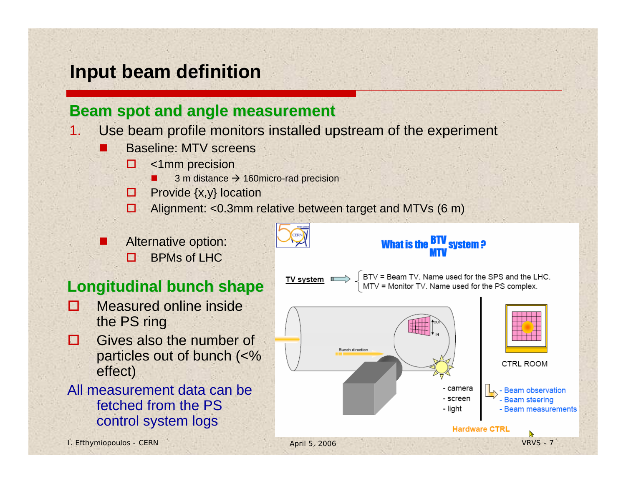## **Input beam definition**

#### **Beam spot and angle measurement**

- 1. Use beam profile monitors installed upstream of the experiment
	- m. Baseline: MTV screens
		- □ <1mm precision
			- L  $\blacksquare$  3 m distance  $\rightarrow$  160 micro-rad precision
		- $\Box$  Provide  $\{x,y\}$  location
		- $\Box$ Alignment: <0.3mm relative between target and MTVs (6 m)



 $\Box$ BPMs of LHC

#### **Longitudinal bunch shape Longitudinal bunch shape**

- п Measured online inside the PS ring
- п Gives also the number of particles out of bunch (<% effect)
- All measurement data can be fetched from the PS control system logs



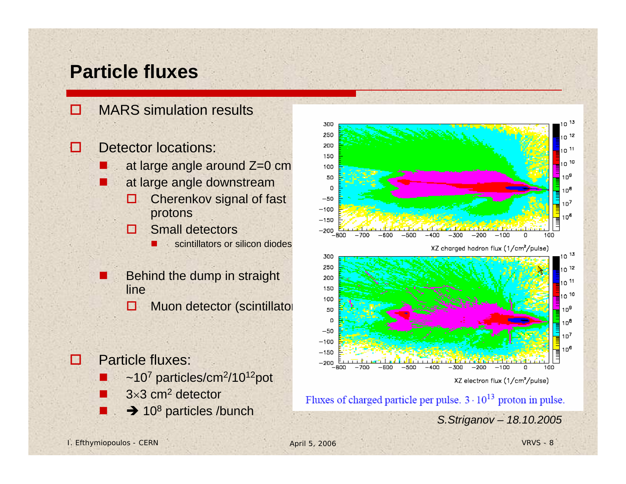### **Particle fluxes**

П MARS simulation results

◘ Detector locations:

- $\mathbb{R}^2$  . Then at large angle around Z=0 cm
- ш at large angle downstream
	- 0 Cherenkov signal of fast protons
	- $\Box$  Small detectors
		- П scintillators or silicon diodes
- × Behind the dump in straight line
	- п Muon detector (scintillator
- п Particle fluxes:
	- $\Box$  $\sim$ 10<sup>7</sup> particles/cm<sup>2</sup>/10<sup>12</sup>pot
	- $\Box$  $3\times3$  cm<sup>2</sup> detector
	- **T**



Fluxes of charged particle per pulse.  $3 \cdot 10^{13}$  proton in pulse. ■ → 10<sup>8</sup> particles /bunch *S.Striganov* – 18.10.2005

I. Efthymiopoulos - CERN April 5, 2006 VRVS - 8